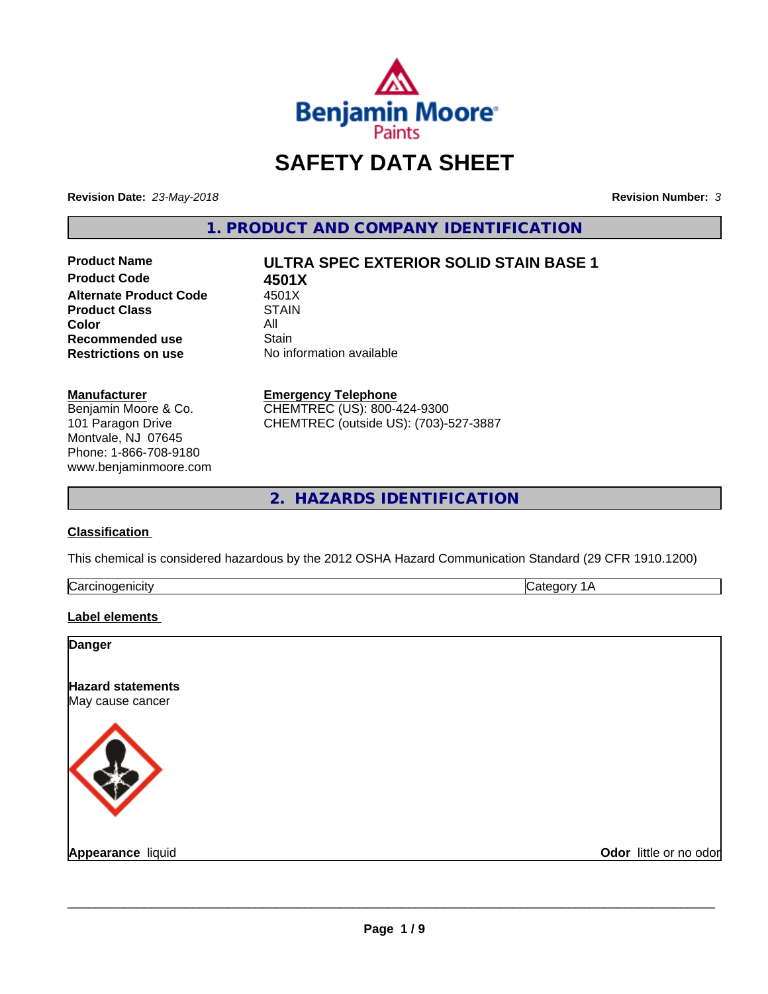

# **SAFETY DATA SHEET**

**Revision Date:** *23-May-2018* **Revision Number:** *3*

**1. PRODUCT AND COMPANY IDENTIFICATION**

**Product Code 4501X Alternate Product Code 4501X<br>Product Class 61 STAIN Product Class Color** All All **Recommended use All Stain Recommended use**<br>Restrictions on use

# **Product Name ULTRA SPEC EXTERIOR SOLID STAIN BASE 1**

**No information available** 

#### **Manufacturer**

Benjamin Moore & Co. 101 Paragon Drive Montvale, NJ 07645 Phone: 1-866-708-9180 www.benjaminmoore.com

#### **Emergency Telephone**

CHEMTREC (US): 800-424-9300 CHEMTREC (outside US): (703)-527-3887

**2. HAZARDS IDENTIFICATION**

#### **Classification**

This chemical is considered hazardous by the 2012 OSHA Hazard Communication Standard (29 CFR 1910.1200)

| ترا |  |
|-----|--|
|     |  |

#### **Label elements**

| <b>Danger</b>                                |                        |
|----------------------------------------------|------------------------|
| <b>Hazard statements</b><br>May cause cancer |                        |
|                                              |                        |
| Appearance liquid                            | Odor little or no odor |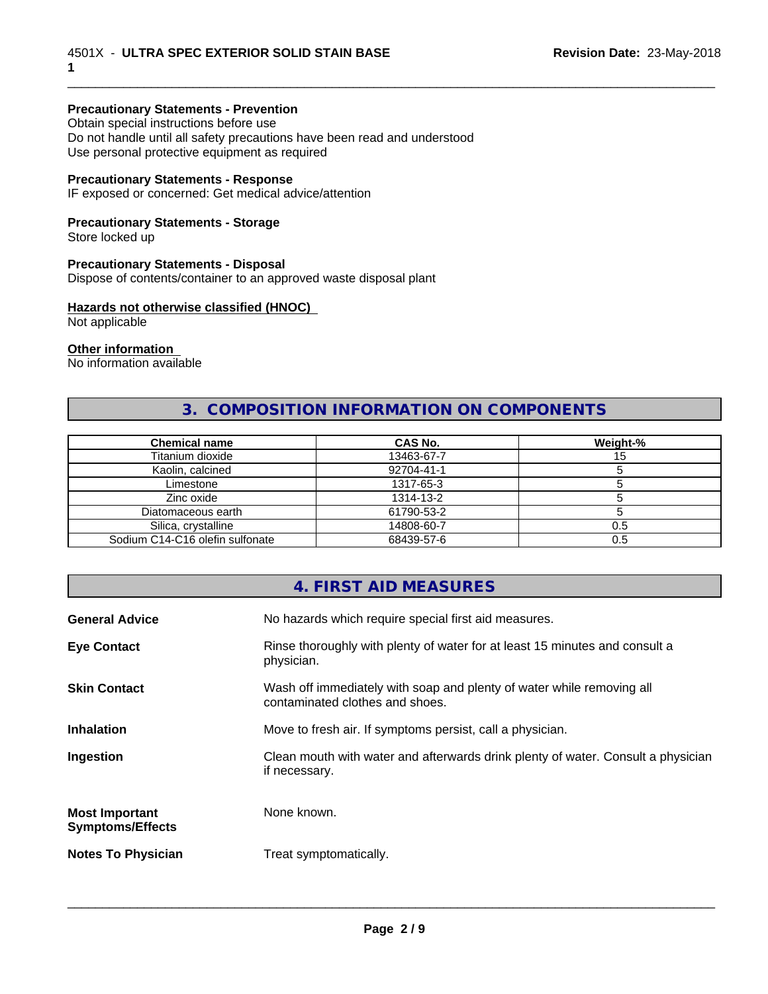#### **Precautionary Statements - Prevention**

Obtain special instructions before use Do not handle until all safety precautions have been read and understood Use personal protective equipment as required

#### **Precautionary Statements - Response**

IF exposed or concerned: Get medical advice/attention

#### **Precautionary Statements - Storage**

Store locked up

#### **Precautionary Statements - Disposal**

Dispose of contents/container to an approved waste disposal plant

#### **Hazards not otherwise classified (HNOC)**

Not applicable

#### **Other information**

No information available

# **3. COMPOSITION INFORMATION ON COMPONENTS**

\_\_\_\_\_\_\_\_\_\_\_\_\_\_\_\_\_\_\_\_\_\_\_\_\_\_\_\_\_\_\_\_\_\_\_\_\_\_\_\_\_\_\_\_\_\_\_\_\_\_\_\_\_\_\_\_\_\_\_\_\_\_\_\_\_\_\_\_\_\_\_\_\_\_\_\_\_\_\_\_\_\_\_\_\_\_\_\_\_\_\_\_\_

| <b>Chemical name</b>            | CAS No.    | Weight-% |
|---------------------------------|------------|----------|
| Titanium dioxide                | 13463-67-7 | ن ا      |
| Kaolin, calcined                | 92704-41-1 |          |
| Limestone                       | 1317-65-3  |          |
| Zinc oxide                      | 1314-13-2  |          |
| Diatomaceous earth              | 61790-53-2 |          |
| Silica, crystalline             | 14808-60-7 | 0.5      |
| Sodium C14-C16 olefin sulfonate | 68439-57-6 | 0.5      |

#### **4. FIRST AID MEASURES**

| <b>General Advice</b>                            | No hazards which require special first aid measures.                                                     |
|--------------------------------------------------|----------------------------------------------------------------------------------------------------------|
| <b>Eye Contact</b>                               | Rinse thoroughly with plenty of water for at least 15 minutes and consult a<br>physician.                |
| <b>Skin Contact</b>                              | Wash off immediately with soap and plenty of water while removing all<br>contaminated clothes and shoes. |
| <b>Inhalation</b>                                | Move to fresh air. If symptoms persist, call a physician.                                                |
| Ingestion                                        | Clean mouth with water and afterwards drink plenty of water. Consult a physician<br>if necessary.        |
| <b>Most Important</b><br><b>Symptoms/Effects</b> | None known.                                                                                              |
| <b>Notes To Physician</b>                        | Treat symptomatically.                                                                                   |
|                                                  |                                                                                                          |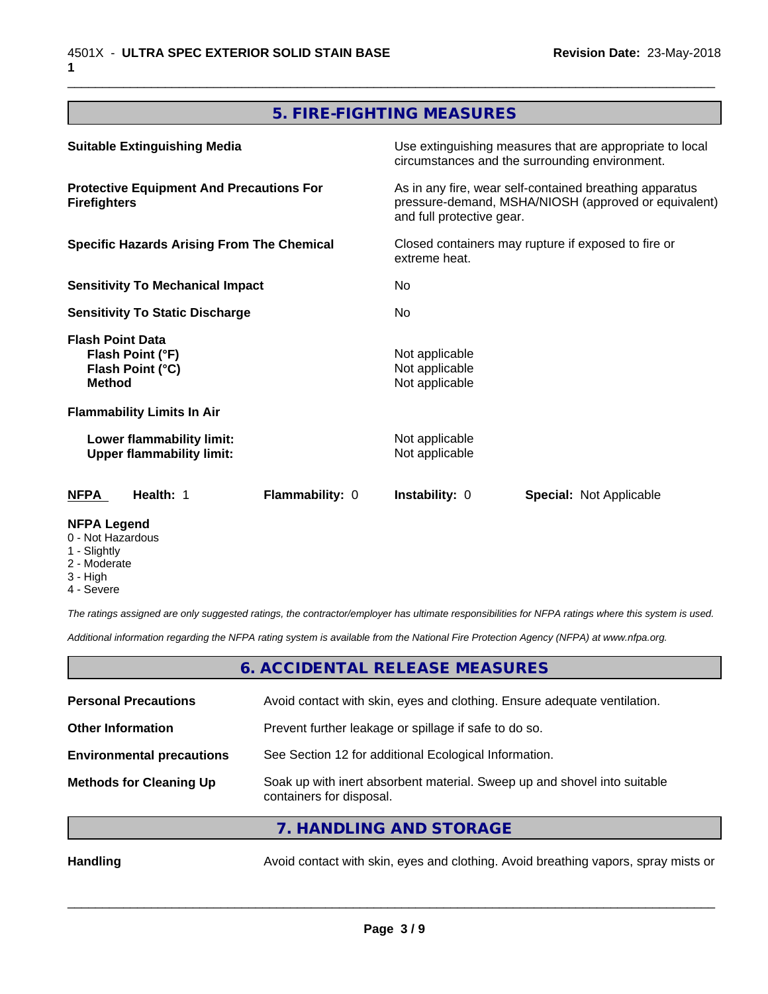# **5. FIRE-FIGHTING MEASURES**

\_\_\_\_\_\_\_\_\_\_\_\_\_\_\_\_\_\_\_\_\_\_\_\_\_\_\_\_\_\_\_\_\_\_\_\_\_\_\_\_\_\_\_\_\_\_\_\_\_\_\_\_\_\_\_\_\_\_\_\_\_\_\_\_\_\_\_\_\_\_\_\_\_\_\_\_\_\_\_\_\_\_\_\_\_\_\_\_\_\_\_\_\_

| <b>Suitable Extinguishing Media</b><br><b>Protective Equipment And Precautions For</b><br><b>Firefighters</b><br><b>Specific Hazards Arising From The Chemical</b> |                 | Use extinguishing measures that are appropriate to local<br>circumstances and the surrounding environment.<br>As in any fire, wear self-contained breathing apparatus<br>pressure-demand, MSHA/NIOSH (approved or equivalent)<br>and full protective gear. |                                |    |
|--------------------------------------------------------------------------------------------------------------------------------------------------------------------|-----------------|------------------------------------------------------------------------------------------------------------------------------------------------------------------------------------------------------------------------------------------------------------|--------------------------------|----|
|                                                                                                                                                                    |                 |                                                                                                                                                                                                                                                            |                                |    |
|                                                                                                                                                                    |                 | <b>Sensitivity To Mechanical Impact</b>                                                                                                                                                                                                                    |                                | No |
| <b>Sensitivity To Static Discharge</b>                                                                                                                             |                 | No                                                                                                                                                                                                                                                         |                                |    |
| <b>Flash Point Data</b><br>Flash Point (°F)<br>Flash Point (°C)<br><b>Method</b>                                                                                   |                 | Not applicable<br>Not applicable<br>Not applicable                                                                                                                                                                                                         |                                |    |
| <b>Flammability Limits In Air</b>                                                                                                                                  |                 |                                                                                                                                                                                                                                                            |                                |    |
| Lower flammability limit:<br><b>Upper flammability limit:</b>                                                                                                      |                 | Not applicable<br>Not applicable                                                                                                                                                                                                                           |                                |    |
| <b>NFPA</b><br>Health: 1                                                                                                                                           | Flammability: 0 | <b>Instability: 0</b>                                                                                                                                                                                                                                      | <b>Special: Not Applicable</b> |    |
| <b>NFPA Legend</b>                                                                                                                                                 |                 |                                                                                                                                                                                                                                                            |                                |    |

- 0 Not Hazardous
- 1 Slightly
- 2 Moderate
- 3 High
- 4 Severe

*The ratings assigned are only suggested ratings, the contractor/employer has ultimate responsibilities for NFPA ratings where this system is used.*

*Additional information regarding the NFPA rating system is available from the National Fire Protection Agency (NFPA) at www.nfpa.org.*

# **6. ACCIDENTAL RELEASE MEASURES**

| <b>Personal Precautions</b>      | Avoid contact with skin, eyes and clothing. Ensure adequate ventilation.                             |
|----------------------------------|------------------------------------------------------------------------------------------------------|
| <b>Other Information</b>         | Prevent further leakage or spillage if safe to do so.                                                |
| <b>Environmental precautions</b> | See Section 12 for additional Ecological Information.                                                |
| <b>Methods for Cleaning Up</b>   | Soak up with inert absorbent material. Sweep up and shovel into suitable<br>containers for disposal. |
|                                  | $\overline{z}$ is a non-interesting example.                                                         |

**7. HANDLING AND STORAGE**

Handling **Handling** Avoid contact with skin, eyes and clothing. Avoid breathing vapors, spray mists or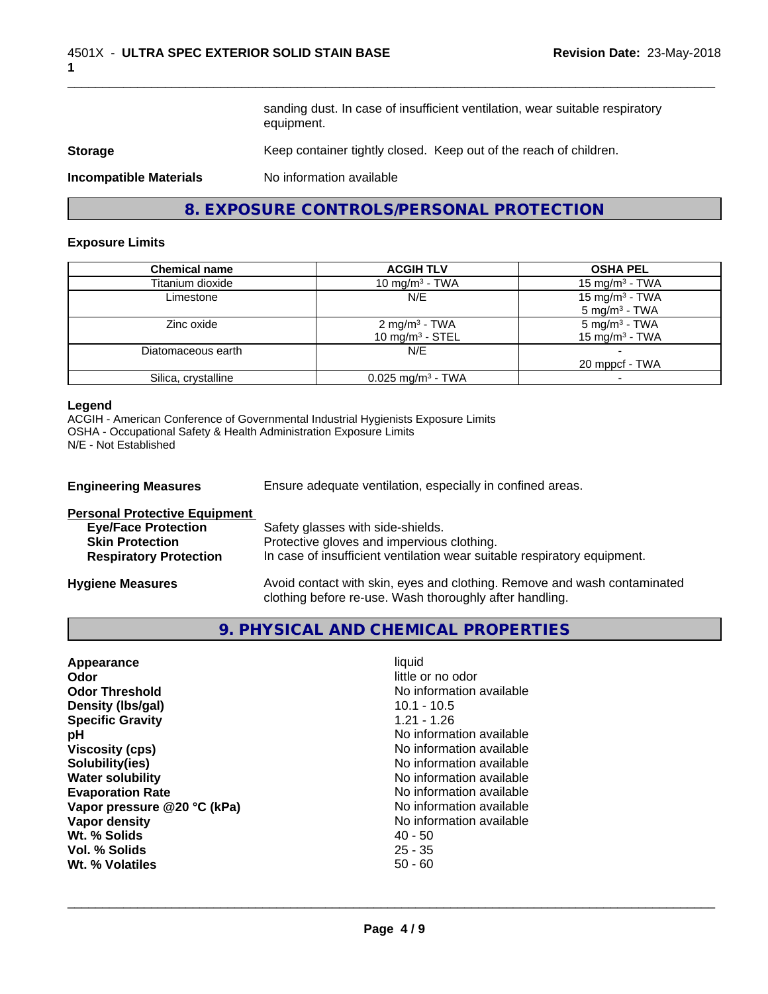sanding dust. In case of insufficient ventilation, wear suitable respiratory equipment.

\_\_\_\_\_\_\_\_\_\_\_\_\_\_\_\_\_\_\_\_\_\_\_\_\_\_\_\_\_\_\_\_\_\_\_\_\_\_\_\_\_\_\_\_\_\_\_\_\_\_\_\_\_\_\_\_\_\_\_\_\_\_\_\_\_\_\_\_\_\_\_\_\_\_\_\_\_\_\_\_\_\_\_\_\_\_\_\_\_\_\_\_\_

#### **Storage** Keep container tightly closed. Keep out of the reach of children.

**Incompatible Materials** No information available

**8. EXPOSURE CONTROLS/PERSONAL PROTECTION**

#### **Exposure Limits**

| <b>Chemical name</b> | <b>ACGIH TLV</b>                | <b>OSHA PEL</b>            |
|----------------------|---------------------------------|----------------------------|
| Titanium dioxide     | 10 mg/m $3$ - TWA               | $15 \text{ mg/m}^3$ - TWA  |
| Limestone            | N/E                             | 15 mg/m <sup>3</sup> - TWA |
|                      |                                 | $5 \text{ mg/m}^3$ - TWA   |
| Zinc oxide           | 2 mg/m <sup>3</sup> - TWA       | 5 mg/m <sup>3</sup> - TWA  |
|                      | 10 mg/m <sup>3</sup> - STEL     | 15 mg/m <sup>3</sup> - TWA |
| Diatomaceous earth   | N/E                             |                            |
|                      |                                 | 20 mppcf - TWA             |
| Silica, crystalline  | $0.025$ mg/m <sup>3</sup> - TWA |                            |

#### **Legend**

ACGIH - American Conference of Governmental Industrial Hygienists Exposure Limits OSHA - Occupational Safety & Health Administration Exposure Limits N/E - Not Established

| <b>Engineering Measures</b>          | Ensure adequate ventilation, especially in confined areas.               |  |
|--------------------------------------|--------------------------------------------------------------------------|--|
| <b>Personal Protective Equipment</b> |                                                                          |  |
| <b>Eye/Face Protection</b>           | Safety glasses with side-shields.                                        |  |
| <b>Skin Protection</b>               | Protective gloves and impervious clothing.                               |  |
| <b>Respiratory Protection</b>        | In case of insufficient ventilation wear suitable respiratory equipment. |  |
| <b>Hygiene Measures</b>              | Avoid contact with skin, eyes and clothing. Remove and wash contaminated |  |

clothing before re-use. Wash thoroughly after handling.

# **9. PHYSICAL AND CHEMICAL PROPERTIES**

| Appearance                  | liquid                   |
|-----------------------------|--------------------------|
| Odor                        | little or no odor        |
| <b>Odor Threshold</b>       | No information available |
| Density (Ibs/gal)           | $10.1 - 10.5$            |
| <b>Specific Gravity</b>     | $1.21 - 1.26$            |
| рH                          | No information available |
| <b>Viscosity (cps)</b>      | No information available |
| Solubility(ies)             | No information available |
| <b>Water solubility</b>     | No information available |
| <b>Evaporation Rate</b>     | No information available |
| Vapor pressure @20 °C (kPa) | No information available |
| Vapor density               | No information available |
| Wt. % Solids                | $40 - 50$                |
| Vol. % Solids               | $25 - 35$                |
| Wt. % Volatiles             | $50 - 60$                |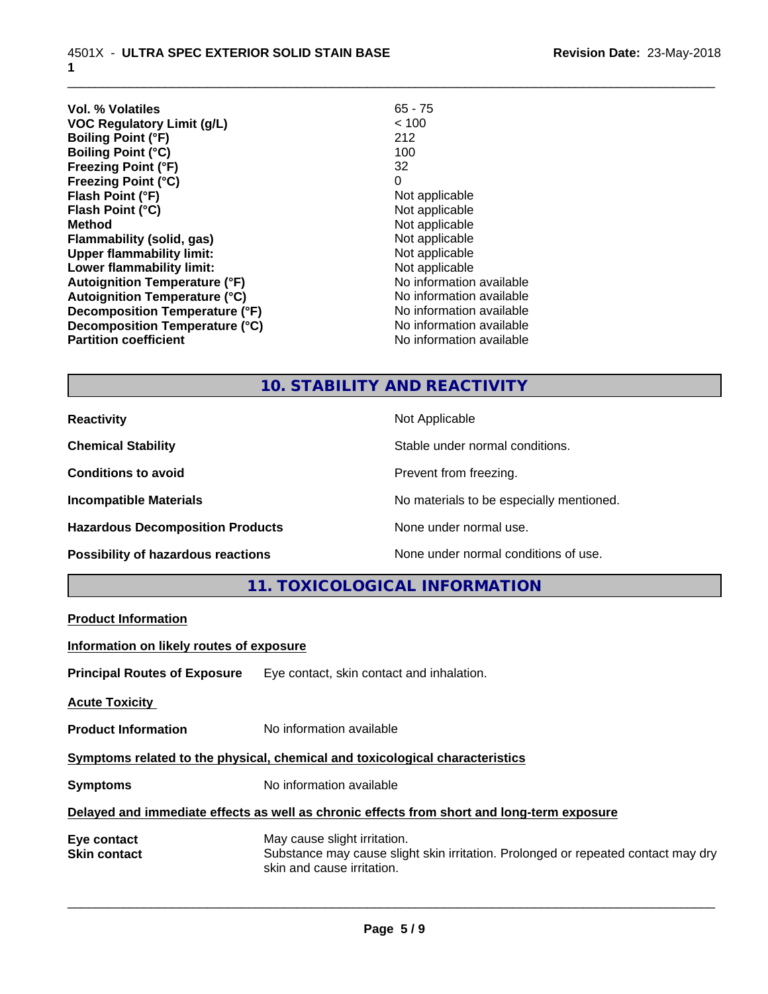| <b>Vol. % Volatiles</b>              | $65 - 75$                |
|--------------------------------------|--------------------------|
| <b>VOC Regulatory Limit (g/L)</b>    | < 100                    |
| <b>Boiling Point (°F)</b>            | 212                      |
| <b>Boiling Point (°C)</b>            | 100                      |
| <b>Freezing Point (°F)</b>           | 32                       |
| <b>Freezing Point (°C)</b>           | 0                        |
| Flash Point (°F)                     | Not applicable           |
| Flash Point (°C)                     | Not applicable           |
| <b>Method</b>                        | Not applicable           |
| <b>Flammability (solid, gas)</b>     | Not applicable           |
| <b>Upper flammability limit:</b>     | Not applicable           |
| Lower flammability limit:            | Not applicable           |
| <b>Autoignition Temperature (°F)</b> | No information available |
| <b>Autoignition Temperature (°C)</b> | No information available |
| Decomposition Temperature (°F)       | No information available |
| Decomposition Temperature (°C)       | No information available |
| <b>Partition coefficient</b>         | No information available |
|                                      |                          |

# **10. STABILITY AND REACTIVITY**

\_\_\_\_\_\_\_\_\_\_\_\_\_\_\_\_\_\_\_\_\_\_\_\_\_\_\_\_\_\_\_\_\_\_\_\_\_\_\_\_\_\_\_\_\_\_\_\_\_\_\_\_\_\_\_\_\_\_\_\_\_\_\_\_\_\_\_\_\_\_\_\_\_\_\_\_\_\_\_\_\_\_\_\_\_\_\_\_\_\_\_\_\_

| <b>Reactivity</b>                       | Not Applicable                           |
|-----------------------------------------|------------------------------------------|
| <b>Chemical Stability</b>               | Stable under normal conditions.          |
| <b>Conditions to avoid</b>              | Prevent from freezing.                   |
| <b>Incompatible Materials</b>           | No materials to be especially mentioned. |
| <b>Hazardous Decomposition Products</b> | None under normal use.                   |
| Possibility of hazardous reactions      | None under normal conditions of use.     |

**11. TOXICOLOGICAL INFORMATION**

| <b>Product Information</b>                                                                 |                                                                                                                                                 |  |  |
|--------------------------------------------------------------------------------------------|-------------------------------------------------------------------------------------------------------------------------------------------------|--|--|
| Information on likely routes of exposure                                                   |                                                                                                                                                 |  |  |
|                                                                                            | <b>Principal Routes of Exposure</b> Eye contact, skin contact and inhalation.                                                                   |  |  |
| <b>Acute Toxicity</b>                                                                      |                                                                                                                                                 |  |  |
| <b>Product Information</b>                                                                 | No information available                                                                                                                        |  |  |
| Symptoms related to the physical, chemical and toxicological characteristics               |                                                                                                                                                 |  |  |
| <b>Symptoms</b>                                                                            | No information available                                                                                                                        |  |  |
| Delayed and immediate effects as well as chronic effects from short and long-term exposure |                                                                                                                                                 |  |  |
| Eye contact<br><b>Skin contact</b>                                                         | May cause slight irritation.<br>Substance may cause slight skin irritation. Prolonged or repeated contact may dry<br>skin and cause irritation. |  |  |
|                                                                                            |                                                                                                                                                 |  |  |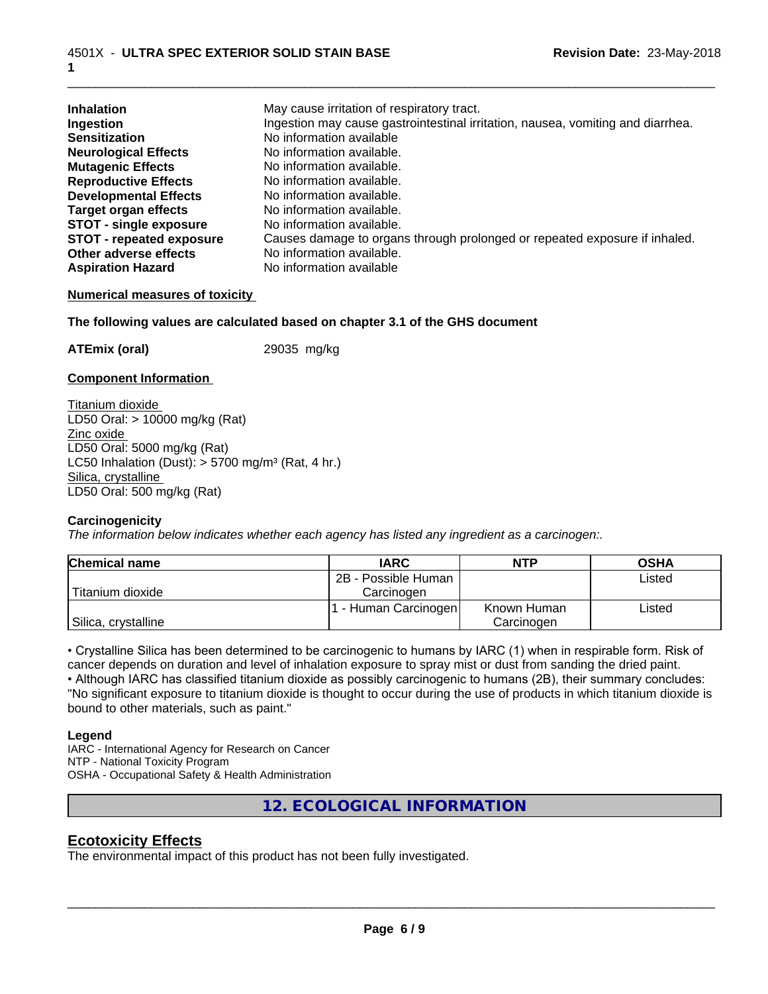| <b>Inhalation</b>             | May cause irritation of respiratory tract.                                      |
|-------------------------------|---------------------------------------------------------------------------------|
| Ingestion                     | Ingestion may cause gastrointestinal irritation, nausea, vomiting and diarrhea. |
| <b>Sensitization</b>          | No information available                                                        |
| <b>Neurological Effects</b>   | No information available.                                                       |
| <b>Mutagenic Effects</b>      | No information available.                                                       |
| <b>Reproductive Effects</b>   | No information available.                                                       |
| <b>Developmental Effects</b>  | No information available.                                                       |
| <b>Target organ effects</b>   | No information available.                                                       |
| <b>STOT - single exposure</b> | No information available.                                                       |
| STOT - repeated exposure      | Causes damage to organs through prolonged or repeated exposure if inhaled.      |
| Other adverse effects         | No information available.                                                       |
| <b>Aspiration Hazard</b>      | No information available                                                        |

\_\_\_\_\_\_\_\_\_\_\_\_\_\_\_\_\_\_\_\_\_\_\_\_\_\_\_\_\_\_\_\_\_\_\_\_\_\_\_\_\_\_\_\_\_\_\_\_\_\_\_\_\_\_\_\_\_\_\_\_\_\_\_\_\_\_\_\_\_\_\_\_\_\_\_\_\_\_\_\_\_\_\_\_\_\_\_\_\_\_\_\_\_

#### **Numerical measures of toxicity**

#### **The following values are calculated based on chapter 3.1 of the GHS document**

**ATEmix (oral)** 29035 mg/kg

#### **Component Information**

Titanium dioxide LD50 Oral: > 10000 mg/kg (Rat) Zinc oxide LD50 Oral: 5000 mg/kg (Rat) LC50 Inhalation (Dust):  $> 5700$  mg/m<sup>3</sup> (Rat, 4 hr.) Silica, crystalline LD50 Oral: 500 mg/kg (Rat)

#### **Carcinogenicity**

*The information below indicateswhether each agency has listed any ingredient as a carcinogen:.*

| <b>Chemical name</b> | <b>IARC</b>          | <b>NTP</b>  | <b>OSHA</b> |
|----------------------|----------------------|-------------|-------------|
|                      | 2B - Possible Human  |             | Listed      |
| Titanium dioxide     | Carcinogen           |             |             |
|                      | . - Human Carcinogen | Known Human | Listed      |
| Silica, crystalline  |                      | Carcinogen  |             |

• Crystalline Silica has been determined to be carcinogenic to humans by IARC (1) when in respirable form. Risk of cancer depends on duration and level of inhalation exposure to spray mist or dust from sanding the dried paint.• Although IARC has classified titanium dioxide as possibly carcinogenic to humans (2B), their summary concludes: "No significant exposure to titanium dioxide is thought to occur during the use of products in which titanium dioxide is bound to other materials, such as paint."

#### **Legend**

IARC - International Agency for Research on Cancer NTP - National Toxicity Program OSHA - Occupational Safety & Health Administration

**12. ECOLOGICAL INFORMATION**

# **Ecotoxicity Effects**

The environmental impact of this product has not been fully investigated.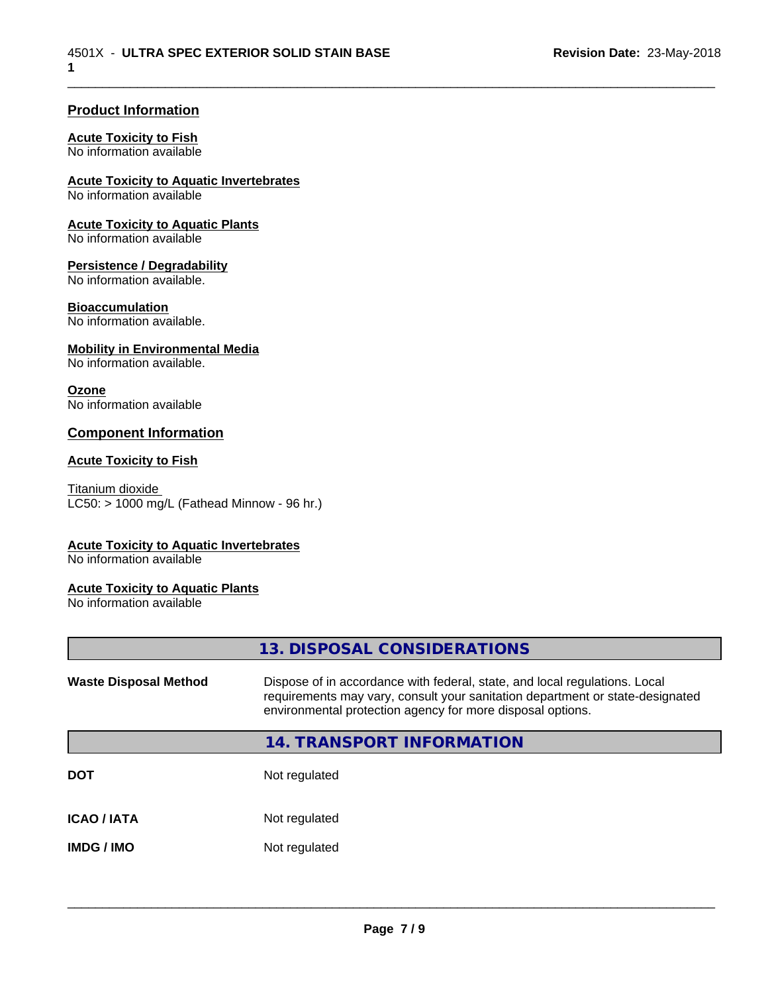\_\_\_\_\_\_\_\_\_\_\_\_\_\_\_\_\_\_\_\_\_\_\_\_\_\_\_\_\_\_\_\_\_\_\_\_\_\_\_\_\_\_\_\_\_\_\_\_\_\_\_\_\_\_\_\_\_\_\_\_\_\_\_\_\_\_\_\_\_\_\_\_\_\_\_\_\_\_\_\_\_\_\_\_\_\_\_\_\_\_\_\_\_

#### **Product Information**

#### **Acute Toxicity to Fish**

No information available

#### **Acute Toxicity to Aquatic Invertebrates**

No information available

#### **Acute Toxicity to Aquatic Plants**

No information available

#### **Persistence / Degradability**

No information available.

#### **Bioaccumulation**

No information available.

#### **Mobility in Environmental Media**

No information available.

#### **Ozone**

No information available

#### **Component Information**

#### **Acute Toxicity to Fish**

Titanium dioxide  $LC50:$  > 1000 mg/L (Fathead Minnow - 96 hr.)

#### **Acute Toxicity to Aquatic Invertebrates**

No information available

#### **Acute Toxicity to Aquatic Plants**

No information available

|                              | 13. DISPOSAL CONSIDERATIONS                                                                                                                                                                                               |
|------------------------------|---------------------------------------------------------------------------------------------------------------------------------------------------------------------------------------------------------------------------|
| <b>Waste Disposal Method</b> | Dispose of in accordance with federal, state, and local regulations. Local<br>requirements may vary, consult your sanitation department or state-designated<br>environmental protection agency for more disposal options. |
|                              | 14. TRANSPORT INFORMATION                                                                                                                                                                                                 |
| <b>DOT</b>                   | Not regulated                                                                                                                                                                                                             |
| <b>ICAO / IATA</b>           | Not regulated                                                                                                                                                                                                             |
| <b>IMDG / IMO</b>            | Not regulated                                                                                                                                                                                                             |
|                              |                                                                                                                                                                                                                           |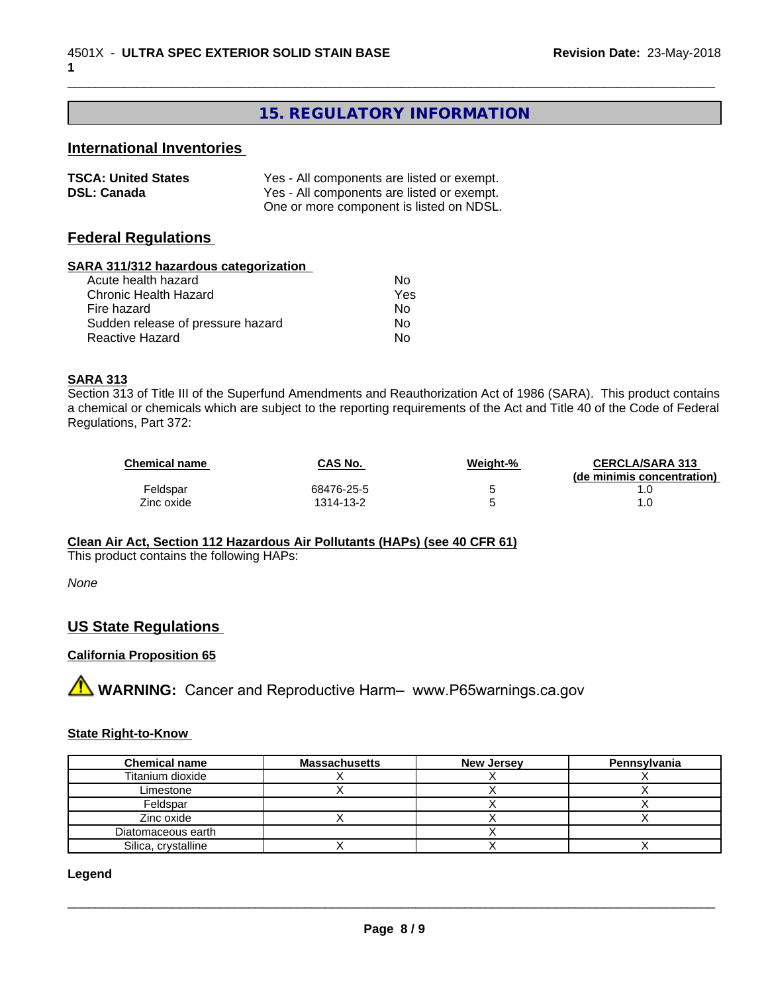# **15. REGULATORY INFORMATION**

\_\_\_\_\_\_\_\_\_\_\_\_\_\_\_\_\_\_\_\_\_\_\_\_\_\_\_\_\_\_\_\_\_\_\_\_\_\_\_\_\_\_\_\_\_\_\_\_\_\_\_\_\_\_\_\_\_\_\_\_\_\_\_\_\_\_\_\_\_\_\_\_\_\_\_\_\_\_\_\_\_\_\_\_\_\_\_\_\_\_\_\_\_

# **International Inventories**

| <b>TSCA: United States</b> | Yes - All components are listed or exempt. |
|----------------------------|--------------------------------------------|
| <b>DSL: Canada</b>         | Yes - All components are listed or exempt. |
|                            | One or more component is listed on NDSL.   |

### **Federal Regulations**

#### **SARA 311/312 hazardous categorization**

| Acute health hazard               | Nο  |
|-----------------------------------|-----|
| Chronic Health Hazard             | Yes |
| Fire hazard                       | Nο  |
| Sudden release of pressure hazard | N٥  |
| Reactive Hazard                   | N٥  |

#### **SARA 313**

Section 313 of Title III of the Superfund Amendments and Reauthorization Act of 1986 (SARA). This product contains a chemical or chemicals which are subject to the reporting requirements of the Act and Title 40 of the Code of Federal Regulations, Part 372:

| <b>Chemical name</b> | <b>CAS No.</b> | Weight-% | <b>CERCLA/SARA 313</b><br>(de minimis concentration) |
|----------------------|----------------|----------|------------------------------------------------------|
| Feldspar             | 68476-25-5     |          |                                                      |
| Zinc oxide           | 1314-13-2      |          |                                                      |

#### **Clean Air Act,Section 112 Hazardous Air Pollutants (HAPs) (see 40 CFR 61)**

This product contains the following HAPs:

*None*

# **US State Regulations**

#### **California Proposition 65**

**AN** WARNING: Cancer and Reproductive Harm– www.P65warnings.ca.gov

#### **State Right-to-Know**

| <b>Chemical name</b> | <b>Massachusetts</b> | <b>New Jersey</b> | Pennsylvania |
|----------------------|----------------------|-------------------|--------------|
| Titanium dioxide     |                      |                   |              |
| Limestone            |                      |                   |              |
| Feldspar             |                      |                   |              |
| Zinc oxide           |                      |                   |              |
| Diatomaceous earth   |                      |                   |              |
| Silica, crystalline  |                      |                   |              |

#### **Legend**